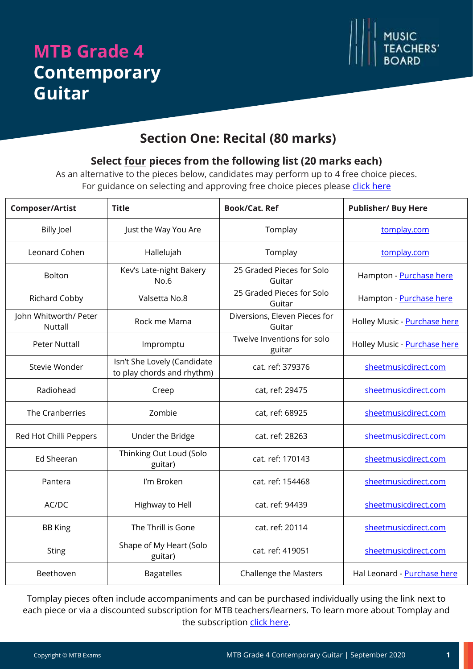# **MTB Grade 4 Contemporary Guitar**



### **Section One: Recital (80 marks)**

#### **Select four pieces from the following list (20 marks each)**

As an alternative to the pieces below, candidates may perform up to 4 free choice pieces. For guidance on selecting and approving free choice pieces please [click here](https://www.mtbexams.com/how-it-works/free-choice-pieces-guidance/)

| <b>Composer/Artist</b>           | <b>Title</b>                                              | <b>Book/Cat. Ref</b>                    | <b>Publisher/ Buy Here</b>   |
|----------------------------------|-----------------------------------------------------------|-----------------------------------------|------------------------------|
| <b>Billy Joel</b>                | Just the Way You Are                                      | Tomplay                                 | tomplay.com                  |
| Leonard Cohen                    | Hallelujah                                                | Tomplay                                 | tomplay.com                  |
| Bolton                           | Kev's Late-night Bakery<br>No.6                           | 25 Graded Pieces for Solo<br>Guitar     | Hampton - Purchase here      |
| Richard Cobby                    | Valsetta No.8                                             | 25 Graded Pieces for Solo<br>Guitar     | Hampton - Purchase here      |
| John Whitworth/ Peter<br>Nuttall | Rock me Mama                                              | Diversions, Eleven Pieces for<br>Guitar | Holley Music - Purchase here |
| <b>Peter Nuttall</b>             | Impromptu                                                 | Twelve Inventions for solo<br>guitar    | Holley Music - Purchase here |
| Stevie Wonder                    | Isn't She Lovely (Candidate<br>to play chords and rhythm) | cat. ref: 379376                        | sheetmusicdirect.com         |
| Radiohead                        | Creep                                                     | cat, ref: 29475                         | sheetmusicdirect.com         |
| The Cranberries                  | Zombie                                                    | cat, ref: 68925                         | sheetmusicdirect.com         |
| Red Hot Chilli Peppers           | Under the Bridge                                          | cat. ref: 28263                         | sheetmusicdirect.com         |
| Ed Sheeran                       | Thinking Out Loud (Solo<br>guitar)                        | cat. ref: 170143                        | sheetmusicdirect.com         |
| Pantera                          | I'm Broken                                                | cat. ref: 154468                        | sheetmusicdirect.com         |
| AC/DC                            | Highway to Hell                                           | cat. ref: 94439                         | sheetmusicdirect.com         |
| <b>BB</b> King                   | The Thrill is Gone                                        | cat. ref: 20114                         | sheetmusicdirect.com         |
| <b>Sting</b>                     | Shape of My Heart (Solo<br>guitar)                        | cat. ref: 419051                        | sheetmusicdirect.com         |
| Beethoven                        | <b>Bagatelles</b>                                         | <b>Challenge the Masters</b>            | Hal Leonard - Purchase here  |

Tomplay pieces often include accompaniments and can be purchased individually using the link next to each piece or via a discounted subscription for MTB teachers/learners. To learn more about Tomplay and the subscription [click here.](https://www.mtbexams.com/2020/09/14/mtb-partner-with-tomplay/)